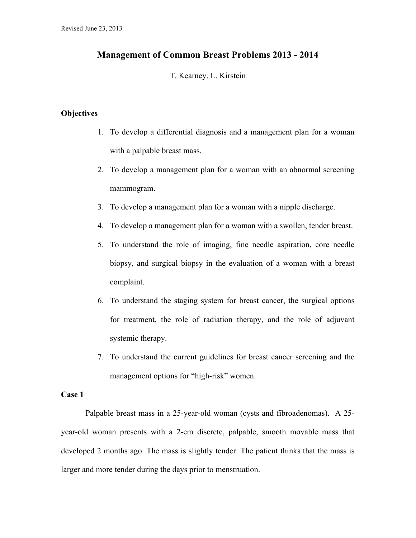### **Management of Common Breast Problems 2013 - 2014**

T. Kearney, L. Kirstein

### **Objectives**

- 1. To develop a differential diagnosis and a management plan for a woman with a palpable breast mass.
- 2. To develop a management plan for a woman with an abnormal screening mammogram.
- 3. To develop a management plan for a woman with a nipple discharge.
- 4. To develop a management plan for a woman with a swollen, tender breast.
- 5. To understand the role of imaging, fine needle aspiration, core needle biopsy, and surgical biopsy in the evaluation of a woman with a breast complaint.
- 6. To understand the staging system for breast cancer, the surgical options for treatment, the role of radiation therapy, and the role of adjuvant systemic therapy.
- 7. To understand the current guidelines for breast cancer screening and the management options for "high-risk" women.

### **Case 1**

Palpable breast mass in a 25-year-old woman (cysts and fibroadenomas). A 25 year-old woman presents with a 2-cm discrete, palpable, smooth movable mass that developed 2 months ago. The mass is slightly tender. The patient thinks that the mass is larger and more tender during the days prior to menstruation.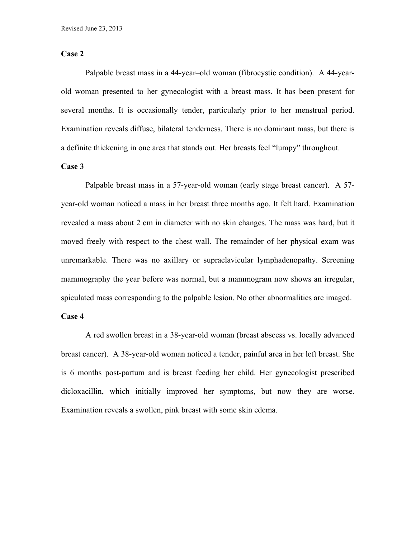### **Case 2**

Palpable breast mass in a 44-year–old woman (fibrocystic condition). A 44-yearold woman presented to her gynecologist with a breast mass. It has been present for several months. It is occasionally tender, particularly prior to her menstrual period. Examination reveals diffuse, bilateral tenderness. There is no dominant mass, but there is a definite thickening in one area that stands out. Her breasts feel "lumpy" throughout.

### **Case 3**

Palpable breast mass in a 57-year-old woman (early stage breast cancer). A 57 year-old woman noticed a mass in her breast three months ago. It felt hard. Examination revealed a mass about 2 cm in diameter with no skin changes. The mass was hard, but it moved freely with respect to the chest wall. The remainder of her physical exam was unremarkable. There was no axillary or supraclavicular lymphadenopathy. Screening mammography the year before was normal, but a mammogram now shows an irregular, spiculated mass corresponding to the palpable lesion. No other abnormalities are imaged.

### **Case 4**

A red swollen breast in a 38-year-old woman (breast abscess vs. locally advanced breast cancer). A 38-year-old woman noticed a tender, painful area in her left breast. She is 6 months post-partum and is breast feeding her child. Her gynecologist prescribed dicloxacillin, which initially improved her symptoms, but now they are worse. Examination reveals a swollen, pink breast with some skin edema.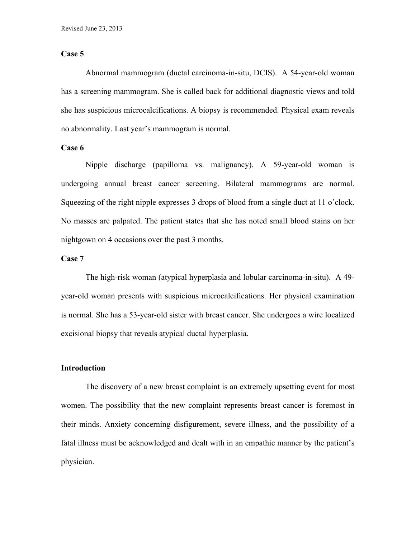### **Case 5**

Abnormal mammogram (ductal carcinoma-in-situ, DCIS). A 54-year-old woman has a screening mammogram. She is called back for additional diagnostic views and told she has suspicious microcalcifications. A biopsy is recommended. Physical exam reveals no abnormality. Last year's mammogram is normal.

### **Case 6**

Nipple discharge (papilloma vs. malignancy). A 59-year-old woman is undergoing annual breast cancer screening. Bilateral mammograms are normal. Squeezing of the right nipple expresses 3 drops of blood from a single duct at 11 o'clock. No masses are palpated. The patient states that she has noted small blood stains on her nightgown on 4 occasions over the past 3 months.

### **Case 7**

The high-risk woman (atypical hyperplasia and lobular carcinoma-in-situ). A 49 year-old woman presents with suspicious microcalcifications. Her physical examination is normal. She has a 53-year-old sister with breast cancer. She undergoes a wire localized excisional biopsy that reveals atypical ductal hyperplasia.

### **Introduction**

The discovery of a new breast complaint is an extremely upsetting event for most women. The possibility that the new complaint represents breast cancer is foremost in their minds. Anxiety concerning disfigurement, severe illness, and the possibility of a fatal illness must be acknowledged and dealt with in an empathic manner by the patient's physician.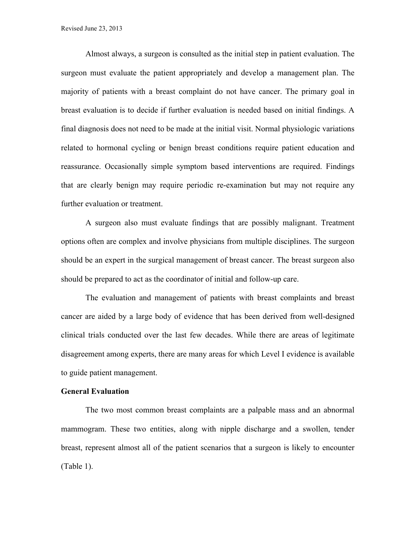Almost always, a surgeon is consulted as the initial step in patient evaluation. The surgeon must evaluate the patient appropriately and develop a management plan. The majority of patients with a breast complaint do not have cancer. The primary goal in breast evaluation is to decide if further evaluation is needed based on initial findings. A final diagnosis does not need to be made at the initial visit. Normal physiologic variations related to hormonal cycling or benign breast conditions require patient education and reassurance. Occasionally simple symptom based interventions are required. Findings that are clearly benign may require periodic re-examination but may not require any further evaluation or treatment.

A surgeon also must evaluate findings that are possibly malignant. Treatment options often are complex and involve physicians from multiple disciplines. The surgeon should be an expert in the surgical management of breast cancer. The breast surgeon also should be prepared to act as the coordinator of initial and follow-up care.

The evaluation and management of patients with breast complaints and breast cancer are aided by a large body of evidence that has been derived from well-designed clinical trials conducted over the last few decades. While there are areas of legitimate disagreement among experts, there are many areas for which Level I evidence is available to guide patient management.

#### **General Evaluation**

The two most common breast complaints are a palpable mass and an abnormal mammogram. These two entities, along with nipple discharge and a swollen, tender breast, represent almost all of the patient scenarios that a surgeon is likely to encounter (Table 1).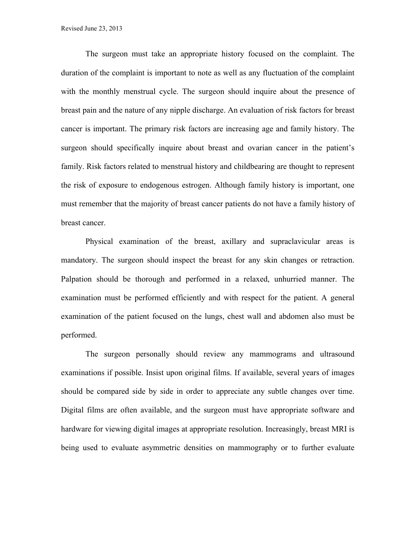The surgeon must take an appropriate history focused on the complaint. The duration of the complaint is important to note as well as any fluctuation of the complaint with the monthly menstrual cycle. The surgeon should inquire about the presence of breast pain and the nature of any nipple discharge. An evaluation of risk factors for breast cancer is important. The primary risk factors are increasing age and family history. The surgeon should specifically inquire about breast and ovarian cancer in the patient's family. Risk factors related to menstrual history and childbearing are thought to represent the risk of exposure to endogenous estrogen. Although family history is important, one must remember that the majority of breast cancer patients do not have a family history of breast cancer.

Physical examination of the breast, axillary and supraclavicular areas is mandatory. The surgeon should inspect the breast for any skin changes or retraction. Palpation should be thorough and performed in a relaxed, unhurried manner. The examination must be performed efficiently and with respect for the patient. A general examination of the patient focused on the lungs, chest wall and abdomen also must be performed.

The surgeon personally should review any mammograms and ultrasound examinations if possible. Insist upon original films. If available, several years of images should be compared side by side in order to appreciate any subtle changes over time. Digital films are often available, and the surgeon must have appropriate software and hardware for viewing digital images at appropriate resolution. Increasingly, breast MRI is being used to evaluate asymmetric densities on mammography or to further evaluate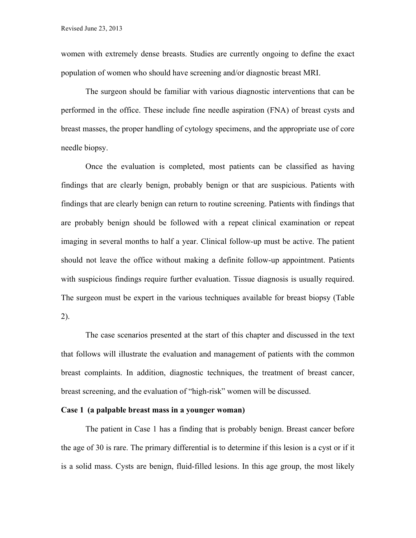women with extremely dense breasts. Studies are currently ongoing to define the exact population of women who should have screening and/or diagnostic breast MRI.

The surgeon should be familiar with various diagnostic interventions that can be performed in the office. These include fine needle aspiration (FNA) of breast cysts and breast masses, the proper handling of cytology specimens, and the appropriate use of core needle biopsy.

Once the evaluation is completed, most patients can be classified as having findings that are clearly benign, probably benign or that are suspicious. Patients with findings that are clearly benign can return to routine screening. Patients with findings that are probably benign should be followed with a repeat clinical examination or repeat imaging in several months to half a year. Clinical follow-up must be active. The patient should not leave the office without making a definite follow-up appointment. Patients with suspicious findings require further evaluation. Tissue diagnosis is usually required. The surgeon must be expert in the various techniques available for breast biopsy (Table 2).

The case scenarios presented at the start of this chapter and discussed in the text that follows will illustrate the evaluation and management of patients with the common breast complaints. In addition, diagnostic techniques, the treatment of breast cancer, breast screening, and the evaluation of "high-risk" women will be discussed.

### **Case 1 (a palpable breast mass in a younger woman)**

The patient in Case 1 has a finding that is probably benign. Breast cancer before the age of 30 is rare. The primary differential is to determine if this lesion is a cyst or if it is a solid mass. Cysts are benign, fluid-filled lesions. In this age group, the most likely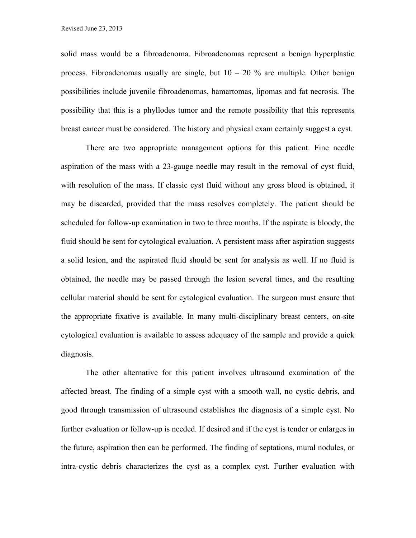solid mass would be a fibroadenoma. Fibroadenomas represent a benign hyperplastic process. Fibroadenomas usually are single, but  $10 - 20$  % are multiple. Other benign possibilities include juvenile fibroadenomas, hamartomas, lipomas and fat necrosis. The possibility that this is a phyllodes tumor and the remote possibility that this represents breast cancer must be considered. The history and physical exam certainly suggest a cyst.

There are two appropriate management options for this patient. Fine needle aspiration of the mass with a 23-gauge needle may result in the removal of cyst fluid, with resolution of the mass. If classic cyst fluid without any gross blood is obtained, it may be discarded, provided that the mass resolves completely. The patient should be scheduled for follow-up examination in two to three months. If the aspirate is bloody, the fluid should be sent for cytological evaluation. A persistent mass after aspiration suggests a solid lesion, and the aspirated fluid should be sent for analysis as well. If no fluid is obtained, the needle may be passed through the lesion several times, and the resulting cellular material should be sent for cytological evaluation. The surgeon must ensure that the appropriate fixative is available. In many multi-disciplinary breast centers, on-site cytological evaluation is available to assess adequacy of the sample and provide a quick diagnosis.

The other alternative for this patient involves ultrasound examination of the affected breast. The finding of a simple cyst with a smooth wall, no cystic debris, and good through transmission of ultrasound establishes the diagnosis of a simple cyst. No further evaluation or follow-up is needed. If desired and if the cyst is tender or enlarges in the future, aspiration then can be performed. The finding of septations, mural nodules, or intra-cystic debris characterizes the cyst as a complex cyst. Further evaluation with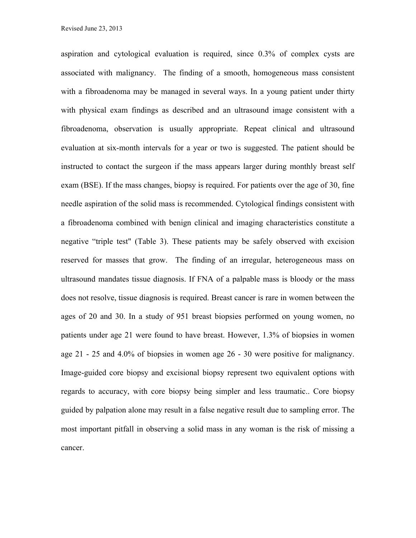aspiration and cytological evaluation is required, since 0.3% of complex cysts are associated with malignancy. The finding of a smooth, homogeneous mass consistent with a fibroadenoma may be managed in several ways. In a young patient under thirty with physical exam findings as described and an ultrasound image consistent with a fibroadenoma, observation is usually appropriate. Repeat clinical and ultrasound evaluation at six-month intervals for a year or two is suggested. The patient should be instructed to contact the surgeon if the mass appears larger during monthly breast self exam (BSE). If the mass changes, biopsy is required. For patients over the age of 30, fine needle aspiration of the solid mass is recommended. Cytological findings consistent with a fibroadenoma combined with benign clinical and imaging characteristics constitute a negative "triple test" (Table 3). These patients may be safely observed with excision reserved for masses that grow. The finding of an irregular, heterogeneous mass on ultrasound mandates tissue diagnosis. If FNA of a palpable mass is bloody or the mass does not resolve, tissue diagnosis is required. Breast cancer is rare in women between the ages of 20 and 30. In a study of 951 breast biopsies performed on young women, no patients under age 21 were found to have breast. However, 1.3% of biopsies in women age 21 - 25 and 4.0% of biopsies in women age 26 - 30 were positive for malignancy. Image-guided core biopsy and excisional biopsy represent two equivalent options with regards to accuracy, with core biopsy being simpler and less traumatic.. Core biopsy guided by palpation alone may result in a false negative result due to sampling error. The most important pitfall in observing a solid mass in any woman is the risk of missing a cancer.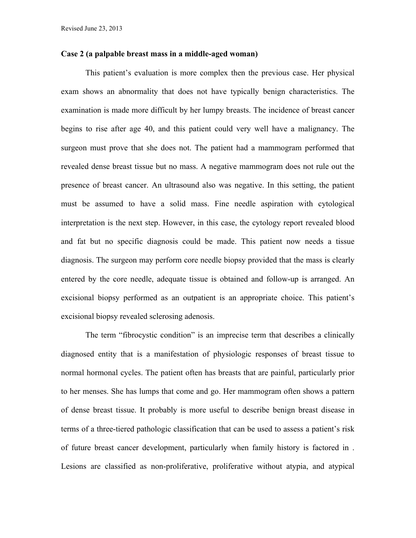### **Case 2 (a palpable breast mass in a middle-aged woman)**

This patient's evaluation is more complex then the previous case. Her physical exam shows an abnormality that does not have typically benign characteristics. The examination is made more difficult by her lumpy breasts. The incidence of breast cancer begins to rise after age 40, and this patient could very well have a malignancy. The surgeon must prove that she does not. The patient had a mammogram performed that revealed dense breast tissue but no mass. A negative mammogram does not rule out the presence of breast cancer. An ultrasound also was negative. In this setting, the patient must be assumed to have a solid mass. Fine needle aspiration with cytological interpretation is the next step. However, in this case, the cytology report revealed blood and fat but no specific diagnosis could be made. This patient now needs a tissue diagnosis. The surgeon may perform core needle biopsy provided that the mass is clearly entered by the core needle, adequate tissue is obtained and follow-up is arranged. An excisional biopsy performed as an outpatient is an appropriate choice. This patient's excisional biopsy revealed sclerosing adenosis.

The term "fibrocystic condition" is an imprecise term that describes a clinically diagnosed entity that is a manifestation of physiologic responses of breast tissue to normal hormonal cycles. The patient often has breasts that are painful, particularly prior to her menses. She has lumps that come and go. Her mammogram often shows a pattern of dense breast tissue. It probably is more useful to describe benign breast disease in terms of a three-tiered pathologic classification that can be used to assess a patient's risk of future breast cancer development, particularly when family history is factored in . Lesions are classified as non-proliferative, proliferative without atypia, and atypical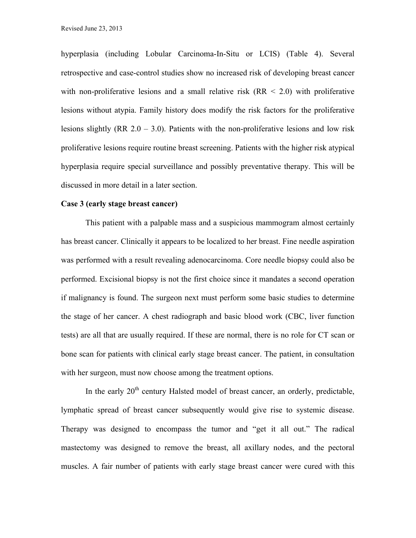hyperplasia (including Lobular Carcinoma-In-Situ or LCIS) (Table 4). Several retrospective and case-control studies show no increased risk of developing breast cancer with non-proliferative lesions and a small relative risk  $(RR < 2.0)$  with proliferative lesions without atypia. Family history does modify the risk factors for the proliferative lesions slightly (RR  $2.0 - 3.0$ ). Patients with the non-proliferative lesions and low risk proliferative lesions require routine breast screening. Patients with the higher risk atypical hyperplasia require special surveillance and possibly preventative therapy. This will be discussed in more detail in a later section.

#### **Case 3 (early stage breast cancer)**

This patient with a palpable mass and a suspicious mammogram almost certainly has breast cancer. Clinically it appears to be localized to her breast. Fine needle aspiration was performed with a result revealing adenocarcinoma. Core needle biopsy could also be performed. Excisional biopsy is not the first choice since it mandates a second operation if malignancy is found. The surgeon next must perform some basic studies to determine the stage of her cancer. A chest radiograph and basic blood work (CBC, liver function tests) are all that are usually required. If these are normal, there is no role for CT scan or bone scan for patients with clinical early stage breast cancer. The patient, in consultation with her surgeon, must now choose among the treatment options.

In the early  $20<sup>th</sup>$  century Halsted model of breast cancer, an orderly, predictable, lymphatic spread of breast cancer subsequently would give rise to systemic disease. Therapy was designed to encompass the tumor and "get it all out." The radical mastectomy was designed to remove the breast, all axillary nodes, and the pectoral muscles. A fair number of patients with early stage breast cancer were cured with this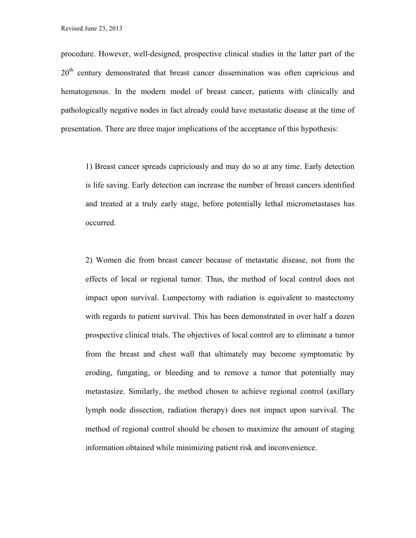procedure. However, well-designed, prospective clinical studies in the latter part of the  $20<sup>th</sup>$  century demonstrated that breast cancer dissemination was often capricious and hematogenous. In the modern model of breast cancer, patients with clinically and pathologically negative nodes in fact already could have metastatic disease at the time of presentation. There are three major implications of the acceptance of this hypothesis:

1) Breast cancer spreads capriciously and may do so at any time. Early detection is life saving. Early detection can increase the number of breast cancers identified and treated at a truly early stage, before potentially lethal micrometastases has occurred.

2) Women die from breast cancer because of metastatic disease, not from the effects of local or regional tumor. Thus, the method of local control does not impact upon survival. Lumpectomy with radiation is equivalent to mastectomy with regards to patient survival. This has been demonstrated in over half a dozen prospective clinical trials. The objectives of local control are to eliminate a tumor from the breast and chest wall that ultimately may become symptomatic by eroding, fungating, or bleeding and to remove a tumor that potentially may metastasize. Similarly, the method chosen to achieve regional control (axillary lymph node dissection, radiation therapy) does not impact upon survival. The method of regional control should be chosen to maximize the amount of staging information obtained while minimizing patient risk and inconvenience.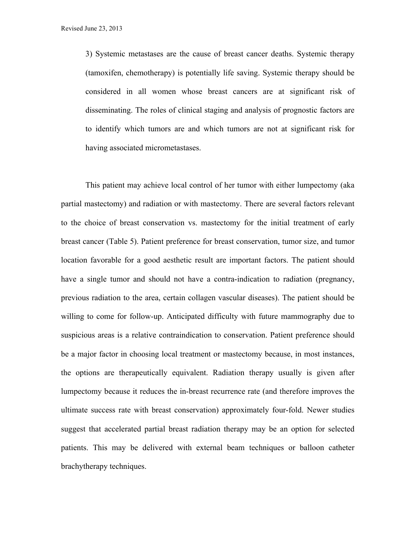3) Systemic metastases are the cause of breast cancer deaths. Systemic therapy (tamoxifen, chemotherapy) is potentially life saving. Systemic therapy should be considered in all women whose breast cancers are at significant risk of disseminating. The roles of clinical staging and analysis of prognostic factors are to identify which tumors are and which tumors are not at significant risk for having associated micrometastases.

This patient may achieve local control of her tumor with either lumpectomy (aka partial mastectomy) and radiation or with mastectomy. There are several factors relevant to the choice of breast conservation vs. mastectomy for the initial treatment of early breast cancer (Table 5). Patient preference for breast conservation, tumor size, and tumor location favorable for a good aesthetic result are important factors. The patient should have a single tumor and should not have a contra-indication to radiation (pregnancy, previous radiation to the area, certain collagen vascular diseases). The patient should be willing to come for follow-up. Anticipated difficulty with future mammography due to suspicious areas is a relative contraindication to conservation. Patient preference should be a major factor in choosing local treatment or mastectomy because, in most instances, the options are therapeutically equivalent. Radiation therapy usually is given after lumpectomy because it reduces the in-breast recurrence rate (and therefore improves the ultimate success rate with breast conservation) approximately four-fold. Newer studies suggest that accelerated partial breast radiation therapy may be an option for selected patients. This may be delivered with external beam techniques or balloon catheter brachytherapy techniques.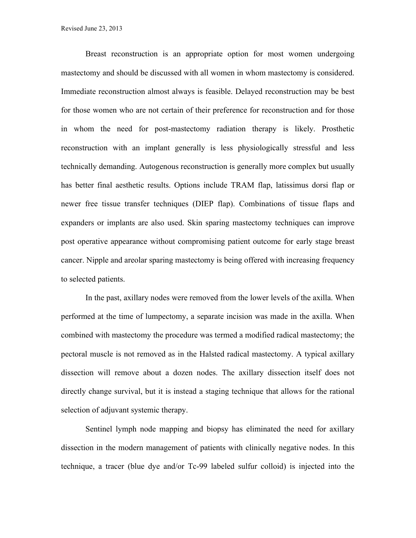Breast reconstruction is an appropriate option for most women undergoing mastectomy and should be discussed with all women in whom mastectomy is considered. Immediate reconstruction almost always is feasible. Delayed reconstruction may be best for those women who are not certain of their preference for reconstruction and for those in whom the need for post-mastectomy radiation therapy is likely. Prosthetic reconstruction with an implant generally is less physiologically stressful and less technically demanding. Autogenous reconstruction is generally more complex but usually has better final aesthetic results. Options include TRAM flap, latissimus dorsi flap or newer free tissue transfer techniques (DIEP flap). Combinations of tissue flaps and expanders or implants are also used. Skin sparing mastectomy techniques can improve post operative appearance without compromising patient outcome for early stage breast cancer. Nipple and areolar sparing mastectomy is being offered with increasing frequency to selected patients.

In the past, axillary nodes were removed from the lower levels of the axilla. When performed at the time of lumpectomy, a separate incision was made in the axilla. When combined with mastectomy the procedure was termed a modified radical mastectomy; the pectoral muscle is not removed as in the Halsted radical mastectomy. A typical axillary dissection will remove about a dozen nodes. The axillary dissection itself does not directly change survival, but it is instead a staging technique that allows for the rational selection of adjuvant systemic therapy.

Sentinel lymph node mapping and biopsy has eliminated the need for axillary dissection in the modern management of patients with clinically negative nodes. In this technique, a tracer (blue dye and/or Tc-99 labeled sulfur colloid) is injected into the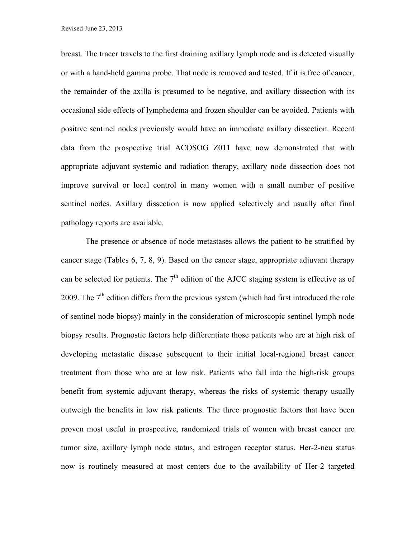breast. The tracer travels to the first draining axillary lymph node and is detected visually or with a hand-held gamma probe. That node is removed and tested. If it is free of cancer, the remainder of the axilla is presumed to be negative, and axillary dissection with its occasional side effects of lymphedema and frozen shoulder can be avoided. Patients with positive sentinel nodes previously would have an immediate axillary dissection. Recent data from the prospective trial ACOSOG Z011 have now demonstrated that with appropriate adjuvant systemic and radiation therapy, axillary node dissection does not improve survival or local control in many women with a small number of positive sentinel nodes. Axillary dissection is now applied selectively and usually after final pathology reports are available.

The presence or absence of node metastases allows the patient to be stratified by cancer stage (Tables 6, 7, 8, 9). Based on the cancer stage, appropriate adjuvant therapy can be selected for patients. The  $7<sup>th</sup>$  edition of the AJCC staging system is effective as of 2009. The  $7<sup>th</sup>$  edition differs from the previous system (which had first introduced the role of sentinel node biopsy) mainly in the consideration of microscopic sentinel lymph node biopsy results. Prognostic factors help differentiate those patients who are at high risk of developing metastatic disease subsequent to their initial local-regional breast cancer treatment from those who are at low risk. Patients who fall into the high-risk groups benefit from systemic adjuvant therapy, whereas the risks of systemic therapy usually outweigh the benefits in low risk patients. The three prognostic factors that have been proven most useful in prospective, randomized trials of women with breast cancer are tumor size, axillary lymph node status, and estrogen receptor status. Her-2-neu status now is routinely measured at most centers due to the availability of Her-2 targeted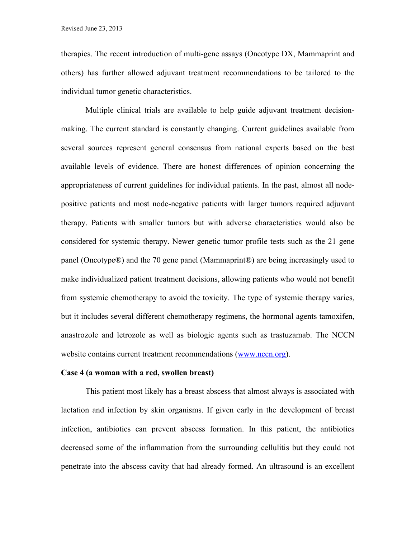therapies. The recent introduction of multi-gene assays (Oncotype DX, Mammaprint and others) has further allowed adjuvant treatment recommendations to be tailored to the individual tumor genetic characteristics.

Multiple clinical trials are available to help guide adjuvant treatment decisionmaking. The current standard is constantly changing. Current guidelines available from several sources represent general consensus from national experts based on the best available levels of evidence. There are honest differences of opinion concerning the appropriateness of current guidelines for individual patients. In the past, almost all nodepositive patients and most node-negative patients with larger tumors required adjuvant therapy. Patients with smaller tumors but with adverse characteristics would also be considered for systemic therapy. Newer genetic tumor profile tests such as the 21 gene panel (Oncotype®) and the 70 gene panel (Mammaprint®) are being increasingly used to make individualized patient treatment decisions, allowing patients who would not benefit from systemic chemotherapy to avoid the toxicity. The type of systemic therapy varies, but it includes several different chemotherapy regimens, the hormonal agents tamoxifen, anastrozole and letrozole as well as biologic agents such as trastuzamab. The NCCN website contains current treatment recommendations (www.nccn.org).

#### **Case 4 (a woman with a red, swollen breast)**

This patient most likely has a breast abscess that almost always is associated with lactation and infection by skin organisms. If given early in the development of breast infection, antibiotics can prevent abscess formation. In this patient, the antibiotics decreased some of the inflammation from the surrounding cellulitis but they could not penetrate into the abscess cavity that had already formed. An ultrasound is an excellent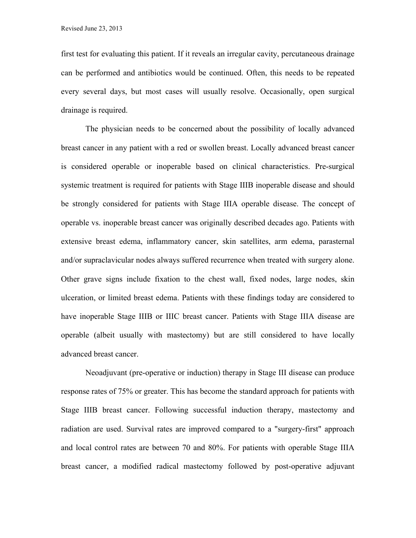first test for evaluating this patient. If it reveals an irregular cavity, percutaneous drainage can be performed and antibiotics would be continued. Often, this needs to be repeated every several days, but most cases will usually resolve. Occasionally, open surgical drainage is required.

The physician needs to be concerned about the possibility of locally advanced breast cancer in any patient with a red or swollen breast. Locally advanced breast cancer is considered operable or inoperable based on clinical characteristics. Pre-surgical systemic treatment is required for patients with Stage IIIB inoperable disease and should be strongly considered for patients with Stage IIIA operable disease. The concept of operable vs. inoperable breast cancer was originally described decades ago. Patients with extensive breast edema, inflammatory cancer, skin satellites, arm edema, parasternal and/or supraclavicular nodes always suffered recurrence when treated with surgery alone. Other grave signs include fixation to the chest wall, fixed nodes, large nodes, skin ulceration, or limited breast edema. Patients with these findings today are considered to have inoperable Stage IIIB or IIIC breast cancer. Patients with Stage IIIA disease are operable (albeit usually with mastectomy) but are still considered to have locally advanced breast cancer.

Neoadjuvant (pre-operative or induction) therapy in Stage III disease can produce response rates of 75% or greater. This has become the standard approach for patients with Stage IIIB breast cancer. Following successful induction therapy, mastectomy and radiation are used. Survival rates are improved compared to a "surgery-first" approach and local control rates are between 70 and 80%. For patients with operable Stage IIIA breast cancer, a modified radical mastectomy followed by post-operative adjuvant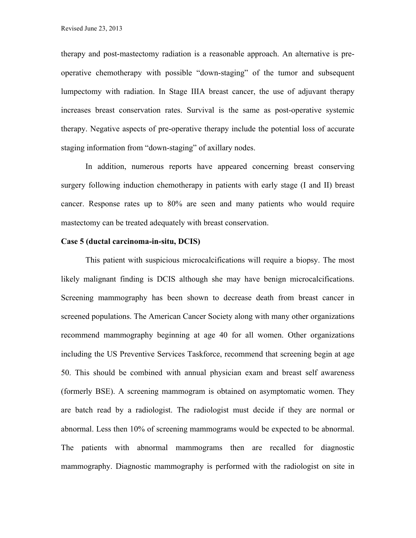therapy and post-mastectomy radiation is a reasonable approach. An alternative is preoperative chemotherapy with possible "down-staging" of the tumor and subsequent lumpectomy with radiation. In Stage IIIA breast cancer, the use of adjuvant therapy increases breast conservation rates. Survival is the same as post-operative systemic therapy. Negative aspects of pre-operative therapy include the potential loss of accurate staging information from "down-staging" of axillary nodes.

In addition, numerous reports have appeared concerning breast conserving surgery following induction chemotherapy in patients with early stage (I and II) breast cancer. Response rates up to 80% are seen and many patients who would require mastectomy can be treated adequately with breast conservation.

#### **Case 5 (ductal carcinoma-in-situ, DCIS)**

This patient with suspicious microcalcifications will require a biopsy. The most likely malignant finding is DCIS although she may have benign microcalcifications. Screening mammography has been shown to decrease death from breast cancer in screened populations. The American Cancer Society along with many other organizations recommend mammography beginning at age 40 for all women. Other organizations including the US Preventive Services Taskforce, recommend that screening begin at age 50. This should be combined with annual physician exam and breast self awareness (formerly BSE). A screening mammogram is obtained on asymptomatic women. They are batch read by a radiologist. The radiologist must decide if they are normal or abnormal. Less then 10% of screening mammograms would be expected to be abnormal. The patients with abnormal mammograms then are recalled for diagnostic mammography. Diagnostic mammography is performed with the radiologist on site in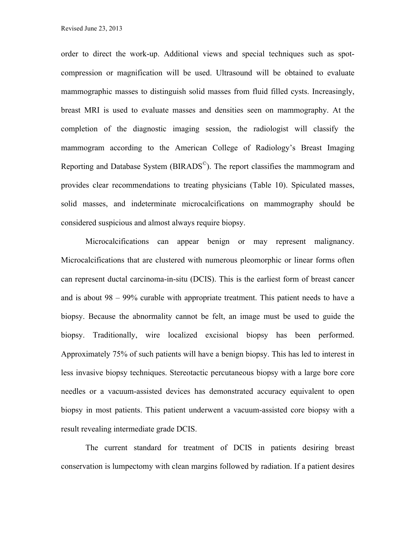order to direct the work-up. Additional views and special techniques such as spotcompression or magnification will be used. Ultrasound will be obtained to evaluate mammographic masses to distinguish solid masses from fluid filled cysts. Increasingly, breast MRI is used to evaluate masses and densities seen on mammography. At the completion of the diagnostic imaging session, the radiologist will classify the mammogram according to the American College of Radiology's Breast Imaging Reporting and Database System (BIRADS©). The report classifies the mammogram and provides clear recommendations to treating physicians (Table 10). Spiculated masses, solid masses, and indeterminate microcalcifications on mammography should be considered suspicious and almost always require biopsy.

Microcalcifications can appear benign or may represent malignancy. Microcalcifications that are clustered with numerous pleomorphic or linear forms often can represent ductal carcinoma-in-situ (DCIS). This is the earliest form of breast cancer and is about 98 – 99% curable with appropriate treatment. This patient needs to have a biopsy. Because the abnormality cannot be felt, an image must be used to guide the biopsy. Traditionally, wire localized excisional biopsy has been performed. Approximately 75% of such patients will have a benign biopsy. This has led to interest in less invasive biopsy techniques. Stereotactic percutaneous biopsy with a large bore core needles or a vacuum-assisted devices has demonstrated accuracy equivalent to open biopsy in most patients. This patient underwent a vacuum-assisted core biopsy with a result revealing intermediate grade DCIS.

The current standard for treatment of DCIS in patients desiring breast conservation is lumpectomy with clean margins followed by radiation. If a patient desires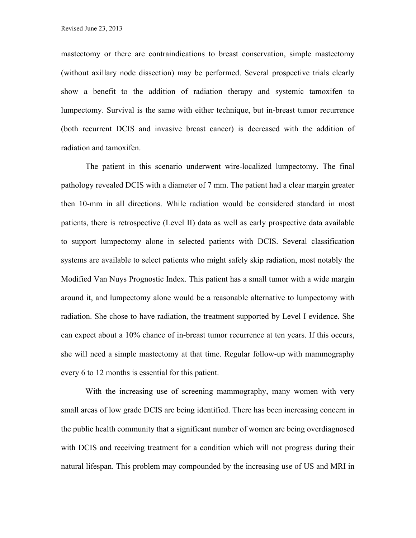mastectomy or there are contraindications to breast conservation, simple mastectomy (without axillary node dissection) may be performed. Several prospective trials clearly show a benefit to the addition of radiation therapy and systemic tamoxifen to lumpectomy. Survival is the same with either technique, but in-breast tumor recurrence (both recurrent DCIS and invasive breast cancer) is decreased with the addition of radiation and tamoxifen.

The patient in this scenario underwent wire-localized lumpectomy. The final pathology revealed DCIS with a diameter of 7 mm. The patient had a clear margin greater then 10-mm in all directions. While radiation would be considered standard in most patients, there is retrospective (Level II) data as well as early prospective data available to support lumpectomy alone in selected patients with DCIS. Several classification systems are available to select patients who might safely skip radiation, most notably the Modified Van Nuys Prognostic Index. This patient has a small tumor with a wide margin around it, and lumpectomy alone would be a reasonable alternative to lumpectomy with radiation. She chose to have radiation, the treatment supported by Level I evidence. She can expect about a 10% chance of in-breast tumor recurrence at ten years. If this occurs, she will need a simple mastectomy at that time. Regular follow-up with mammography every 6 to 12 months is essential for this patient.

With the increasing use of screening mammography, many women with very small areas of low grade DCIS are being identified. There has been increasing concern in the public health community that a significant number of women are being overdiagnosed with DCIS and receiving treatment for a condition which will not progress during their natural lifespan. This problem may compounded by the increasing use of US and MRI in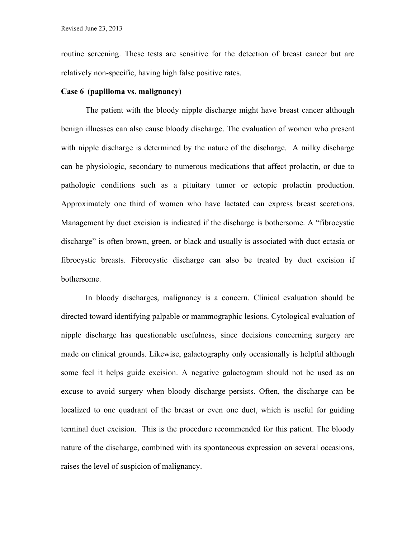routine screening. These tests are sensitive for the detection of breast cancer but are relatively non-specific, having high false positive rates.

### **Case 6 (papilloma vs. malignancy)**

The patient with the bloody nipple discharge might have breast cancer although benign illnesses can also cause bloody discharge. The evaluation of women who present with nipple discharge is determined by the nature of the discharge. A milky discharge can be physiologic, secondary to numerous medications that affect prolactin, or due to pathologic conditions such as a pituitary tumor or ectopic prolactin production. Approximately one third of women who have lactated can express breast secretions. Management by duct excision is indicated if the discharge is bothersome. A "fibrocystic discharge" is often brown, green, or black and usually is associated with duct ectasia or fibrocystic breasts. Fibrocystic discharge can also be treated by duct excision if bothersome.

In bloody discharges, malignancy is a concern. Clinical evaluation should be directed toward identifying palpable or mammographic lesions. Cytological evaluation of nipple discharge has questionable usefulness, since decisions concerning surgery are made on clinical grounds. Likewise, galactography only occasionally is helpful although some feel it helps guide excision. A negative galactogram should not be used as an excuse to avoid surgery when bloody discharge persists. Often, the discharge can be localized to one quadrant of the breast or even one duct, which is useful for guiding terminal duct excision. This is the procedure recommended for this patient. The bloody nature of the discharge, combined with its spontaneous expression on several occasions, raises the level of suspicion of malignancy.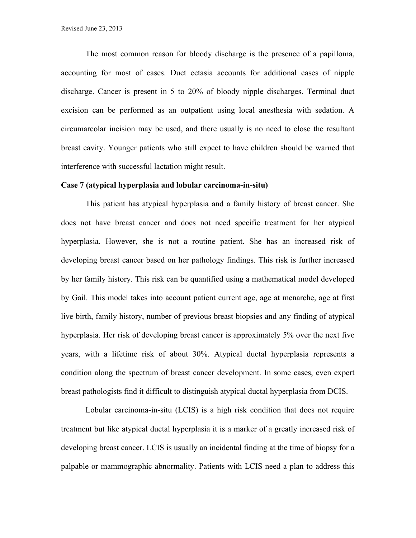The most common reason for bloody discharge is the presence of a papilloma, accounting for most of cases. Duct ectasia accounts for additional cases of nipple discharge. Cancer is present in 5 to 20% of bloody nipple discharges. Terminal duct excision can be performed as an outpatient using local anesthesia with sedation. A circumareolar incision may be used, and there usually is no need to close the resultant breast cavity. Younger patients who still expect to have children should be warned that interference with successful lactation might result.

#### **Case 7 (atypical hyperplasia and lobular carcinoma-in-situ)**

This patient has atypical hyperplasia and a family history of breast cancer. She does not have breast cancer and does not need specific treatment for her atypical hyperplasia. However, she is not a routine patient. She has an increased risk of developing breast cancer based on her pathology findings. This risk is further increased by her family history. This risk can be quantified using a mathematical model developed by Gail. This model takes into account patient current age, age at menarche, age at first live birth, family history, number of previous breast biopsies and any finding of atypical hyperplasia. Her risk of developing breast cancer is approximately 5% over the next five years, with a lifetime risk of about 30%. Atypical ductal hyperplasia represents a condition along the spectrum of breast cancer development. In some cases, even expert breast pathologists find it difficult to distinguish atypical ductal hyperplasia from DCIS.

Lobular carcinoma-in-situ (LCIS) is a high risk condition that does not require treatment but like atypical ductal hyperplasia it is a marker of a greatly increased risk of developing breast cancer. LCIS is usually an incidental finding at the time of biopsy for a palpable or mammographic abnormality. Patients with LCIS need a plan to address this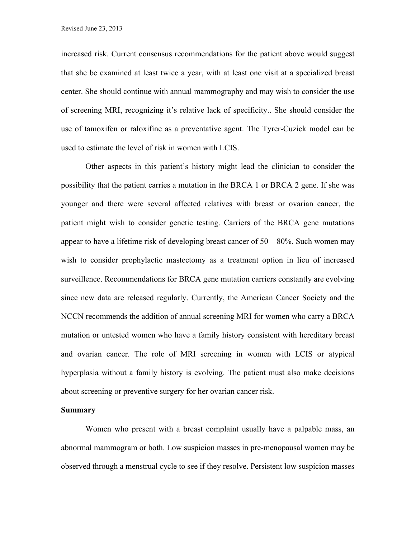increased risk. Current consensus recommendations for the patient above would suggest that she be examined at least twice a year, with at least one visit at a specialized breast center. She should continue with annual mammography and may wish to consider the use of screening MRI, recognizing it's relative lack of specificity.. She should consider the use of tamoxifen or raloxifine as a preventative agent. The Tyrer-Cuzick model can be used to estimate the level of risk in women with LCIS.

Other aspects in this patient's history might lead the clinician to consider the possibility that the patient carries a mutation in the BRCA 1 or BRCA 2 gene. If she was younger and there were several affected relatives with breast or ovarian cancer, the patient might wish to consider genetic testing. Carriers of the BRCA gene mutations appear to have a lifetime risk of developing breast cancer of  $50 - 80\%$ . Such women may wish to consider prophylactic mastectomy as a treatment option in lieu of increased surveillence. Recommendations for BRCA gene mutation carriers constantly are evolving since new data are released regularly. Currently, the American Cancer Society and the NCCN recommends the addition of annual screening MRI for women who carry a BRCA mutation or untested women who have a family history consistent with hereditary breast and ovarian cancer. The role of MRI screening in women with LCIS or atypical hyperplasia without a family history is evolving. The patient must also make decisions about screening or preventive surgery for her ovarian cancer risk.

#### **Summary**

Women who present with a breast complaint usually have a palpable mass, an abnormal mammogram or both. Low suspicion masses in pre-menopausal women may be observed through a menstrual cycle to see if they resolve. Persistent low suspicion masses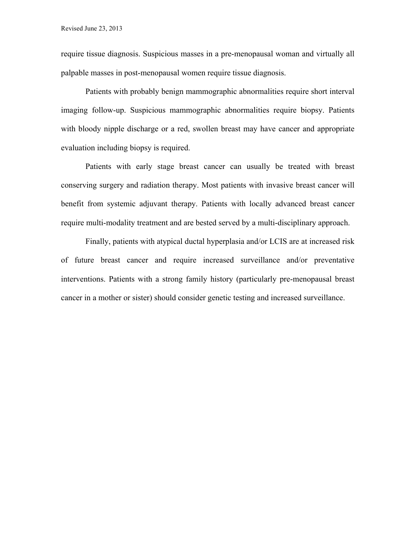require tissue diagnosis. Suspicious masses in a pre-menopausal woman and virtually all palpable masses in post-menopausal women require tissue diagnosis.

Patients with probably benign mammographic abnormalities require short interval imaging follow-up. Suspicious mammographic abnormalities require biopsy. Patients with bloody nipple discharge or a red, swollen breast may have cancer and appropriate evaluation including biopsy is required.

Patients with early stage breast cancer can usually be treated with breast conserving surgery and radiation therapy. Most patients with invasive breast cancer will benefit from systemic adjuvant therapy. Patients with locally advanced breast cancer require multi-modality treatment and are bested served by a multi-disciplinary approach.

Finally, patients with atypical ductal hyperplasia and/or LCIS are at increased risk of future breast cancer and require increased surveillance and/or preventative interventions. Patients with a strong family history (particularly pre-menopausal breast cancer in a mother or sister) should consider genetic testing and increased surveillance.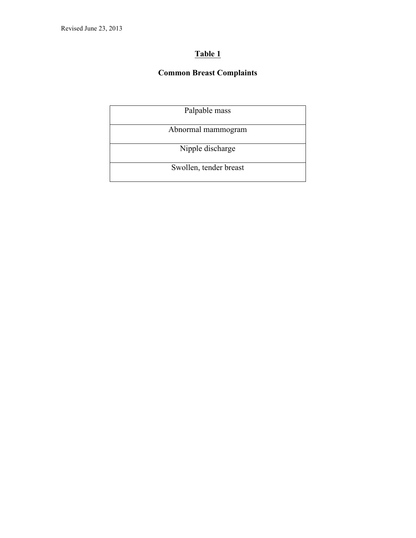## **Common Breast Complaints**

| Palpable mass          |  |  |
|------------------------|--|--|
| Abnormal mammogram     |  |  |
| Nipple discharge       |  |  |
| Swollen, tender breast |  |  |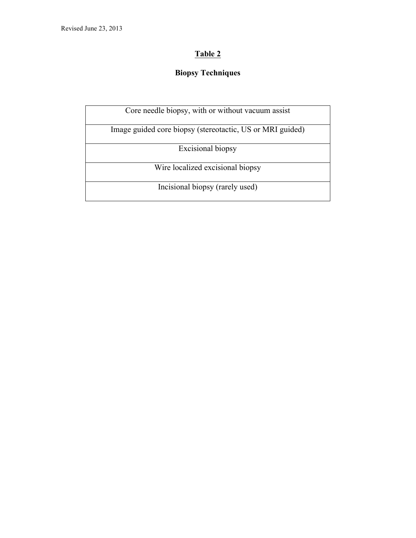# **Biopsy Techniques**

| Core needle biopsy, with or without vacuum assist         |
|-----------------------------------------------------------|
| Image guided core biopsy (stereotactic, US or MRI guided) |
| Excisional biopsy                                         |
| Wire localized excisional biopsy                          |
| Incisional biopsy (rarely used)                           |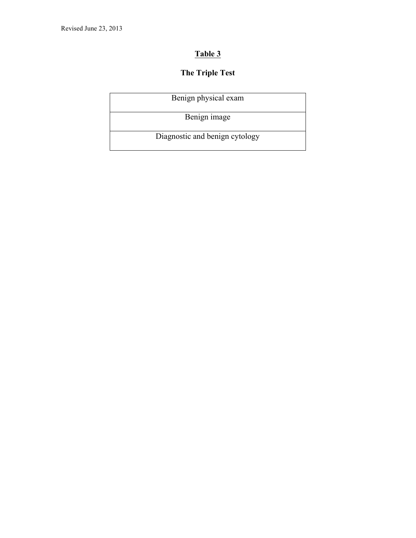# **The Triple Test**

| Benign physical exam           |
|--------------------------------|
| Benign image                   |
| Diagnostic and benign cytology |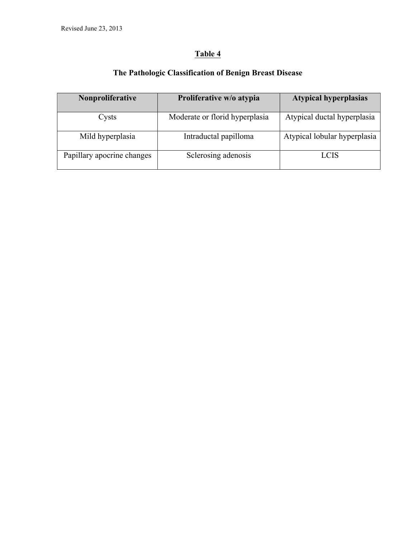# **The Pathologic Classification of Benign Breast Disease**

| Nonproliferative           | Proliferative w/o atypia       | <b>Atypical hyperplasias</b> |
|----------------------------|--------------------------------|------------------------------|
| Cysts                      | Moderate or florid hyperplasia | Atypical ductal hyperplasia  |
| Mild hyperplasia           | Intraductal papilloma          | Atypical lobular hyperplasia |
| Papillary apocrine changes | Sclerosing adenosis            | LCIS                         |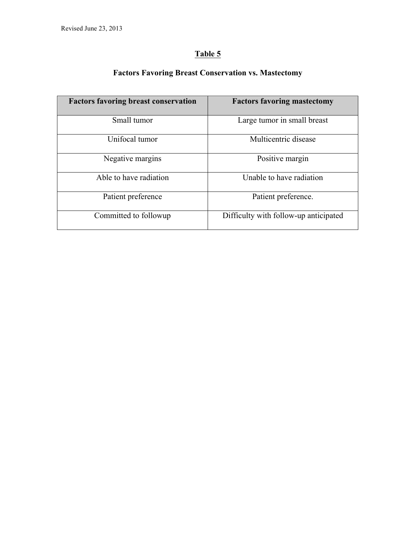| <b>Factors favoring breast conservation</b> | <b>Factors favoring mastectomy</b>    |
|---------------------------------------------|---------------------------------------|
| Small tumor                                 | Large tumor in small breast           |
| Unifocal tumor                              | Multicentric disease                  |
| Negative margins                            | Positive margin                       |
| Able to have radiation                      | Unable to have radiation              |
| Patient preference                          | Patient preference.                   |
| Committed to followup                       | Difficulty with follow-up anticipated |

# **Factors Favoring Breast Conservation vs. Mastectomy**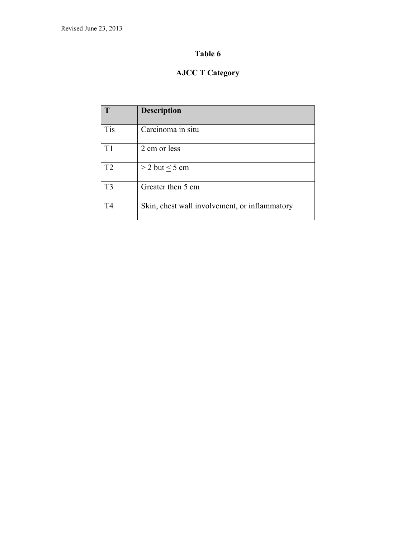# **AJCC T Category**

| T              | <b>Description</b>                            |
|----------------|-----------------------------------------------|
| Tis            | Carcinoma in situ                             |
| T1             | 2 cm or less                                  |
| T <sub>2</sub> | $>$ 2 but $<$ 5 cm                            |
| T <sub>3</sub> | Greater then 5 cm                             |
| T <sub>4</sub> | Skin, chest wall involvement, or inflammatory |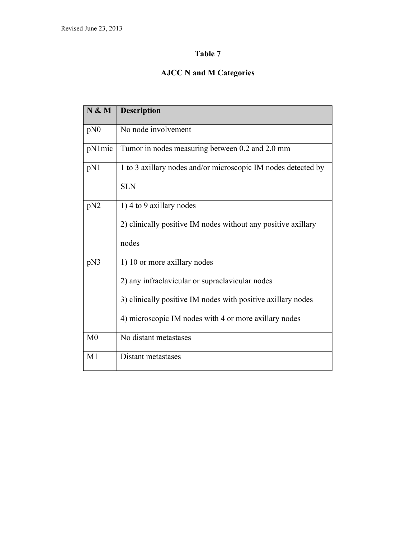# **AJCC N and M Categories**

| N & M           | <b>Description</b>                                                                                                                                                                                       |
|-----------------|----------------------------------------------------------------------------------------------------------------------------------------------------------------------------------------------------------|
| pN0             | No node involvement                                                                                                                                                                                      |
| pN1mic          | Tumor in nodes measuring between 0.2 and 2.0 mm                                                                                                                                                          |
| pN1             | 1 to 3 axillary nodes and/or microscopic IM nodes detected by<br><b>SLN</b>                                                                                                                              |
| pN <sub>2</sub> | 1) 4 to 9 axillary nodes<br>2) clinically positive IM nodes without any positive axillary<br>nodes                                                                                                       |
| pN3             | 1) 10 or more axillary nodes<br>2) any infraclavicular or supraclavicular nodes<br>3) clinically positive IM nodes with positive axillary nodes<br>4) microscopic IM nodes with 4 or more axillary nodes |
| M <sub>0</sub>  | No distant metastases                                                                                                                                                                                    |
| M1              | Distant metastases                                                                                                                                                                                       |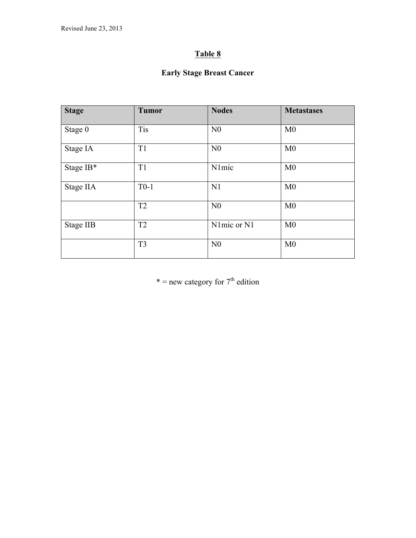## **Early Stage Breast Cancer**

| <b>Stage</b>     | <b>Tumor</b>   | <b>Nodes</b>   | <b>Metastases</b> |
|------------------|----------------|----------------|-------------------|
| Stage 0          | <b>Tis</b>     | N <sub>0</sub> | M <sub>0</sub>    |
| Stage IA         | T <sub>1</sub> | N <sub>0</sub> | M <sub>0</sub>    |
| Stage IB*        | T <sub>1</sub> | N1mic          | M <sub>0</sub>    |
| Stage IIA        | $T0-1$         | N1             | M <sub>0</sub>    |
|                  | T <sub>2</sub> | N <sub>0</sub> | M <sub>0</sub>    |
| <b>Stage IIB</b> | T <sub>2</sub> | N1mic or N1    | M <sub>0</sub>    |
|                  | T <sub>3</sub> | N <sub>0</sub> | M <sub>0</sub>    |

 $*$  = new category for  $7<sup>th</sup>$  edition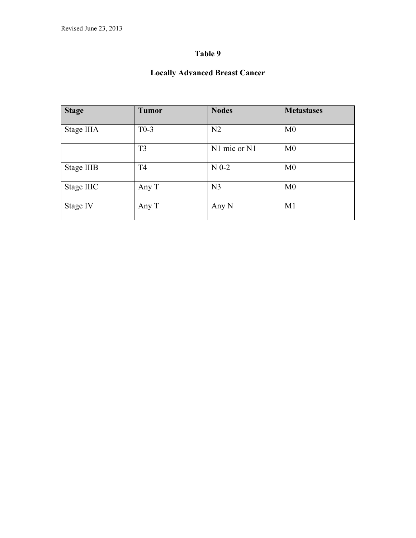# **Locally Advanced Breast Cancer**

| <b>Stage</b>      | <b>Tumor</b>   | <b>Nodes</b>   | <b>Metastases</b> |
|-------------------|----------------|----------------|-------------------|
| Stage IIIA        | $T0-3$         | N <sub>2</sub> | M <sub>0</sub>    |
|                   | T <sub>3</sub> | N1 mic or N1   | M <sub>0</sub>    |
| <b>Stage IIIB</b> | T <sub>4</sub> | $N0-2$         | M <sub>0</sub>    |
| Stage IIIC        | Any T          | N <sub>3</sub> | M <sub>0</sub>    |
| Stage IV          | Any T          | Any N          | M1                |